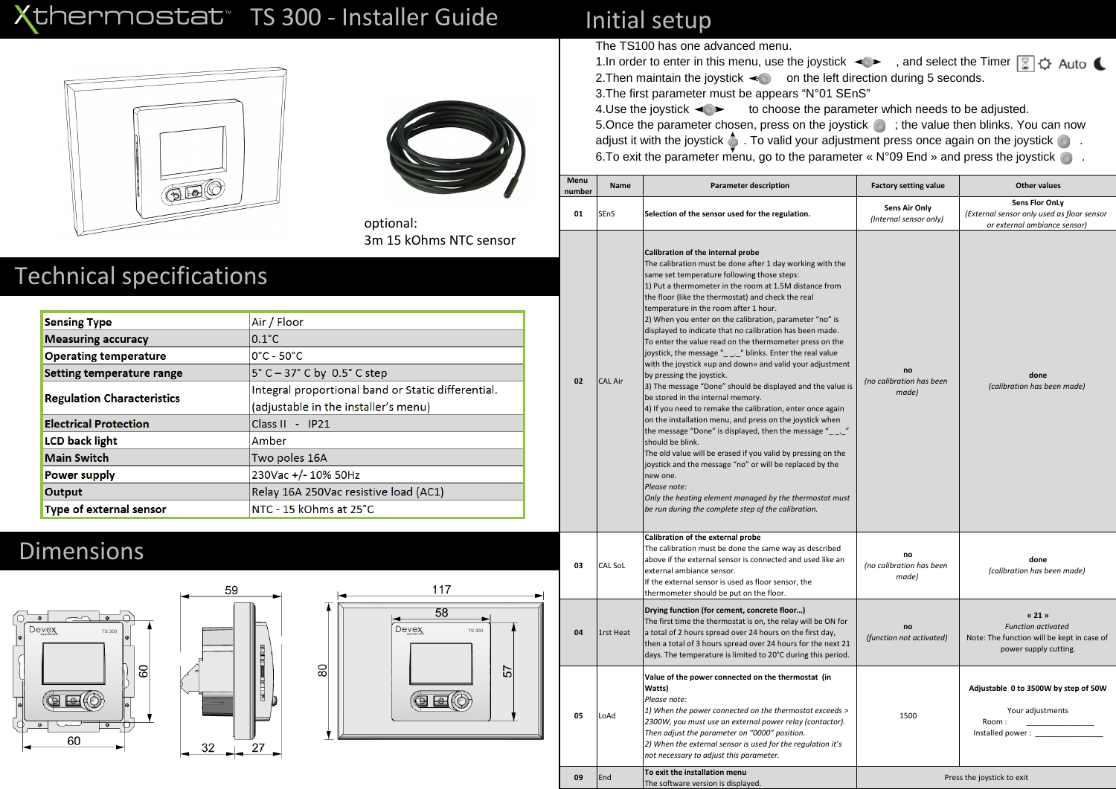# Xthermostat<sup>®</sup> TS 300 - Installer Guide





optional: 3m 15 kOhms NTC sensor

# **Technical specifications**

| <b>Sensing Type</b>               | Air / Floor                                                |  |  |
|-----------------------------------|------------------------------------------------------------|--|--|
| <b>Measuring accuracy</b>         | $0.1^{\circ}$ C                                            |  |  |
| <b>Operating temperature</b>      | $0^{\circ}$ C - 50 $^{\circ}$ C                            |  |  |
| <b>Setting temperature range</b>  | $5^{\circ}$ C $-$ 37 $^{\circ}$ C by 0.5 $^{\circ}$ C step |  |  |
|                                   | Integral proportional band or Static differential.         |  |  |
| <b>Regulation Characteristics</b> | (adjustable in the installer's menu)                       |  |  |
| <b>Electrical Protection</b>      | Class II - IP21                                            |  |  |
| <b>LCD</b> back light             | Amber                                                      |  |  |
| <b>Main Switch</b>                | Two poles 16A                                              |  |  |
| <b>Power supply</b>               | 230Vac +/- 10% 50Hz                                        |  |  |
| Output                            | Relay 16A 250Vac resistive load (AC1)                      |  |  |
| <b>Type of external sensor</b>    | NTC - 15 kOhms at 25°C                                     |  |  |

### **Dimensions**







## Initial setup

The TS100 has one advanced menu.

1. In order to enter in this menu, use the joystick  $\leftarrow \rightarrow$ , and select the Timer  $\boxed{3}$   $\Diamond$  Auto  $\blacktriangle$ 2. Then maintain the joystick  $\leq 0$  on the left direction during 5 seconds. 3. The first parameter must be appears "N°01 SEnS"

to choose the parameter which needs to be adjusted. 4. Use the joystick  $\triangleleft \triangleright$ 5. Once the parameter chosen, press on the joystick o ; the value then blinks. You can now adjust it with the joystick  $\triangle$ . To valid your adjustment press once again on the joystick  $\circledcirc$ . 6. To exit the parameter menu, go to the parameter «  $N°09$  End » and press the joystick  $\bullet$ .

| Menu<br>number | Name           | <b>Parameter description</b>                                                                                                                                                                                                                                                                                                                                                                                                                                                                                                                                                                                                                                                                                                                                                                                                                                                                                                                                                                                                                                                                                                                                                                                                                | <b>Factory setting value</b>            | <b>Other values</b>                                                                                        |
|----------------|----------------|---------------------------------------------------------------------------------------------------------------------------------------------------------------------------------------------------------------------------------------------------------------------------------------------------------------------------------------------------------------------------------------------------------------------------------------------------------------------------------------------------------------------------------------------------------------------------------------------------------------------------------------------------------------------------------------------------------------------------------------------------------------------------------------------------------------------------------------------------------------------------------------------------------------------------------------------------------------------------------------------------------------------------------------------------------------------------------------------------------------------------------------------------------------------------------------------------------------------------------------------|-----------------------------------------|------------------------------------------------------------------------------------------------------------|
| 01             | <b>SEnS</b>    | Selection of the sensor used for the regulation.                                                                                                                                                                                                                                                                                                                                                                                                                                                                                                                                                                                                                                                                                                                                                                                                                                                                                                                                                                                                                                                                                                                                                                                            | Sens Air Only<br>(Internal sensor only) | <b>Sens Flor OnLy</b><br>(External sensor only used as floor sensor<br>or external ambiance sensor)        |
| 02             | <b>CAL Air</b> | Calibration of the internal probe<br>The calibration must be done after 1 day working with the<br>same set temperature following those steps:<br>1) Put a thermometer in the room at 1.5M distance from<br>the floor (like the thermostat) and check the real<br>temperature in the room after 1 hour.<br>2) When you enter on the calibration, parameter "no" is<br>displayed to indicate that no calibration has been made.<br>To enter the value read on the thermometer press on the<br>joystick, the message "____" blinks. Enter the real value<br>with the joystick «up and down» and valid your adjustment<br>by pressing the joystick.<br>3) The message "Done" should be displayed and the value is<br>be stored in the internal memory.<br>4) If you need to remake the calibration, enter once again<br>on the installation menu, and press on the joystick when<br>the message "Done" is displayed, then the message " $_$ $_$ "<br>should be blink.<br>The old value will be erased if you valid by pressing on the<br>joystick and the message "no" or will be replaced by the<br>new one.<br>Please note:<br>Only the heating element managed by the thermostat must<br>be run during the complete step of the calibration. | no<br>(no calibration has been<br>made) | done<br>(calibration has been made)                                                                        |
| 03             | CAL SoL        | Calibration of the external probe<br>The calibration must be done the same way as described<br>above if the external sensor is connected and used like an<br>external ambiance sensor.<br>If the external sensor is used as floor sensor, the<br>thermometer should be put on the floor.                                                                                                                                                                                                                                                                                                                                                                                                                                                                                                                                                                                                                                                                                                                                                                                                                                                                                                                                                    | no<br>(no calibration has been<br>made) | done<br>(calibration has been made)                                                                        |
| 04             | 1rst Heat      | Drying function (for cement, concrete floor)<br>The first time the thermostat is on, the relay will be ON for<br>a total of 2 hours spread over 24 hours on the first day,<br>then a total of 3 hours spread over 24 hours for the next 21<br>days. The temperature is limited to 20°C during this period.                                                                                                                                                                                                                                                                                                                                                                                                                                                                                                                                                                                                                                                                                                                                                                                                                                                                                                                                  | no<br>(function not activated)          | « 21 »<br><b>Function activated</b><br>Note: The function will be kept in case of<br>power supply cutting. |
| 05             | LoAd           | Value of the power connected on the thermostat (in<br>Watts)<br>Please note:<br>1) When the power connected on the thermostat exceeds ><br>2300W, you must use an external power relay (contactor).<br>Then adjust the parameter on "0000" position.<br>2) When the external sensor is used for the regulation it's<br>not necessary to adjust this parameter.                                                                                                                                                                                                                                                                                                                                                                                                                                                                                                                                                                                                                                                                                                                                                                                                                                                                              | 1500                                    | Adjustable 0 to 3500W by step of 50W<br>Your adjustments<br>Room:<br>Installed power: ___________          |
| 09             | End            | To exit the installation menu<br>The software version is displayed.                                                                                                                                                                                                                                                                                                                                                                                                                                                                                                                                                                                                                                                                                                                                                                                                                                                                                                                                                                                                                                                                                                                                                                         | Press the joystick to exit              |                                                                                                            |